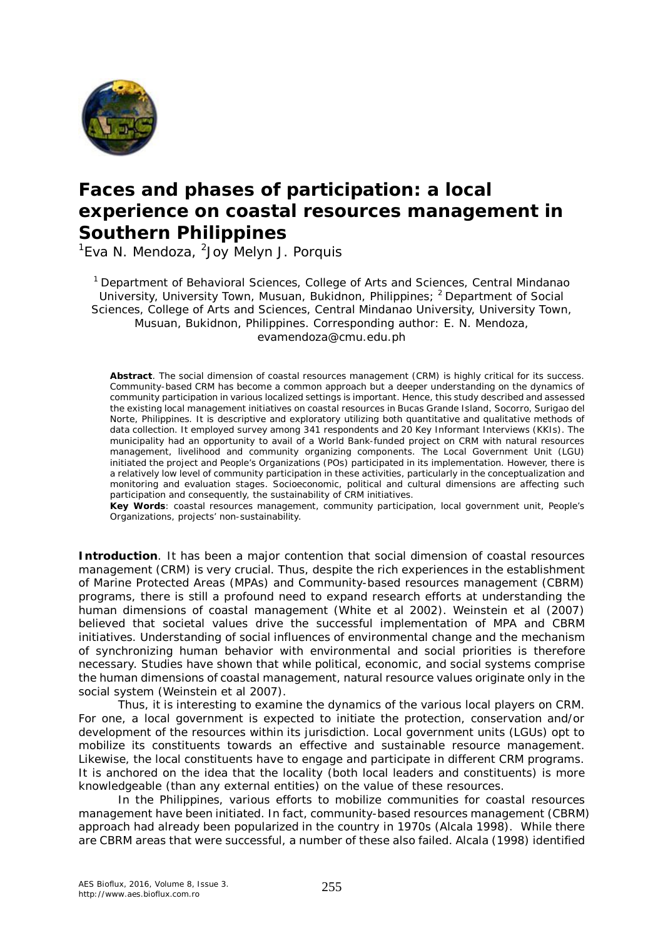

# *Faces* **and** *phases* **of participation: a local experience on coastal resources management in Southern Philippines**

<sup>1</sup>Eva N. Mendoza, <sup>2</sup>Joy Melyn J. Porquis

<sup>1</sup> Department of Behavioral Sciences, College of Arts and Sciences, Central Mindanao University, University Town, Musuan, Bukidnon, Philippines; <sup>2</sup> Department of Social Sciences, College of Arts and Sciences, Central Mindanao University, University Town, Musuan, Bukidnon, Philippines. Corresponding author: E. N. Mendoza, evamendoza@cmu.edu.ph

**Abstract**. The social dimension of coastal resources management (CRM) is highly critical for its success. Community-based CRM has become a common approach but a deeper understanding on the dynamics of community participation in various localized settings is important. Hence, this study described and assessed the existing local management initiatives on coastal resources in Bucas Grande Island, Socorro, Surigao del Norte, Philippines. It is descriptive and exploratory utilizing both quantitative and qualitative methods of data collection. It employed survey among 341 respondents and 20 Key Informant Interviews (KKIs). The municipality had an opportunity to avail of a World Bank-funded project on CRM with natural resources management, livelihood and community organizing components. The Local Government Unit (LGU) initiated the project and People's Organizations (POs) participated in its implementation. However, there is a relatively low level of community participation in these activities, particularly in the conceptualization and monitoring and evaluation stages. Socioeconomic, political and cultural dimensions are affecting such participation and consequently, the sustainability of CRM initiatives.

**Key Words**: coastal resources management, community participation, local government unit, People's Organizations, projects' non-sustainability.

**Introduction**. It has been a major contention that social dimension of coastal resources management (CRM) is very crucial. Thus, despite the rich experiences in the establishment of Marine Protected Areas (MPAs) and Community-based resources management (CBRM) programs, there is still a profound need to expand research efforts at understanding the human dimensions of coastal management (White et al 2002). Weinstein et al (2007) believed that societal values drive the successful implementation of MPA and CBRM initiatives. Understanding of social influences of environmental change and the mechanism of synchronizing human behavior with environmental and social priorities is therefore necessary. Studies have shown that while political, economic, and social systems comprise the human dimensions of coastal management, natural resource values originate only in the social system (Weinstein et al 2007).

Thus, it is interesting to examine the dynamics of the various local players on CRM. For one, a local government is expected to initiate the protection, conservation and/or development of the resources within its jurisdiction. Local government units (LGUs) opt to mobilize its constituents towards an effective and sustainable resource management. Likewise, the local constituents have to engage and participate in different CRM programs. It is anchored on the idea that the locality (both local leaders and constituents) is more knowledgeable (than any external entities) on the value of these resources.

In the Philippines, various efforts to mobilize communities for coastal resources management have been initiated. In fact, community-based resources management (CBRM) approach had already been popularized in the country in 1970s (Alcala 1998). While there are CBRM areas that were successful, a number of these also failed. Alcala (1998) identified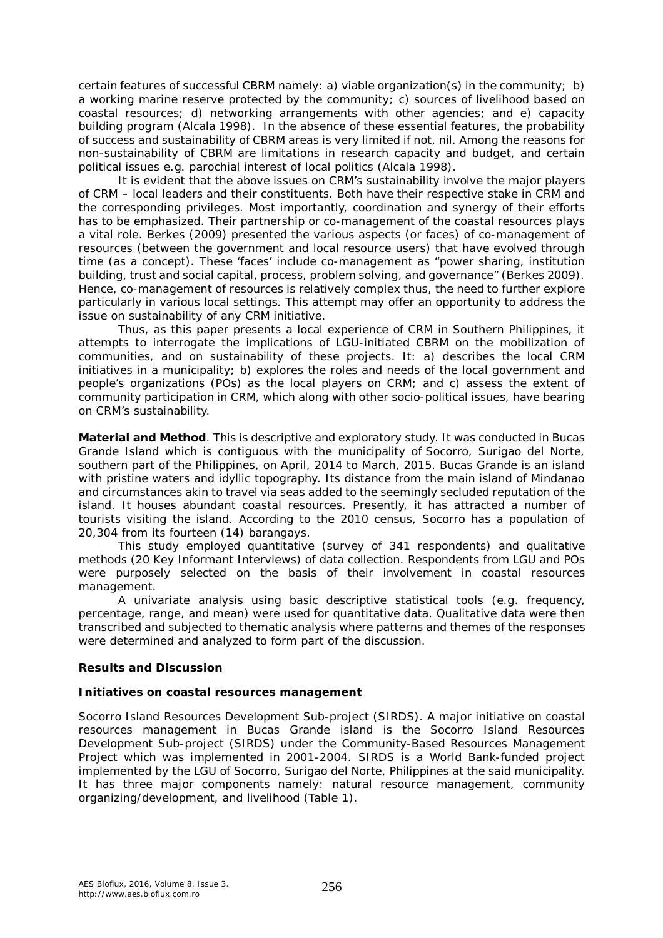certain features of successful CBRM namely: a) viable organization(s) in the community; b) a working marine reserve protected by the community; c) sources of livelihood based on coastal resources; d) networking arrangements with other agencies; and e) capacity building program (Alcala 1998). In the absence of these essential features, the probability of success and sustainability of CBRM areas is very limited if not, nil. Among the reasons for non-sustainability of CBRM are limitations in research capacity and budget, and certain political issues e.g. parochial interest of local politics (Alcala 1998).

It is evident that the above issues on CRM's sustainability involve the major players of CRM – local leaders and their constituents. Both have their respective stake in CRM and the corresponding privileges. Most importantly, coordination and synergy of their efforts has to be emphasized. Their partnership or co-management of the coastal resources plays a vital role. Berkes (2009) presented the various aspects (or faces) of co-management of resources (between the government and local resource users) that have evolved through time (as a concept). These 'faces' include co-management as "power sharing, institution building, trust and social capital, process, problem solving, and governance" (Berkes 2009). Hence, co-management of resources is relatively complex thus, the need to further explore particularly in various local settings. This attempt may offer an opportunity to address the issue on sustainability of any CRM initiative.

Thus, as this paper presents a local experience of CRM in Southern Philippines, it attempts to interrogate the implications of LGU-initiated CBRM on the mobilization of communities, and on sustainability of these projects. It: a) describes the local CRM initiatives in a municipality; b) explores the roles and needs of the local government and people's organizations (POs) as the local players on CRM; and c) assess the extent of community participation in CRM, which along with other socio-political issues, have bearing on CRM's sustainability.

**Material and Method**. This is descriptive and exploratory study. It was conducted in Bucas Grande Island which is contiguous with the municipality of Socorro, Surigao del Norte, southern part of the Philippines, on April, 2014 to March, 2015. Bucas Grande is an island with pristine waters and idyllic topography. Its distance from the main island of Mindanao and circumstances akin to travel via seas added to the seemingly secluded reputation of the island. It houses abundant coastal resources. Presently, it has attracted a number of tourists visiting the island. According to the 2010 census, Socorro has a population of 20,304 from its fourteen (14) barangays.

This study employed quantitative (survey of 341 respondents) and qualitative methods (20 Key Informant Interviews) of data collection. Respondents from LGU and POs were purposely selected on the basis of their involvement in coastal resources management.

A univariate analysis using basic descriptive statistical tools (e.g. frequency, percentage, range, and mean) were used for quantitative data. Qualitative data were then transcribed and subjected to thematic analysis where patterns and themes of the responses were determined and analyzed to form part of the discussion.

# **Results and Discussion**

# *Initiatives on coastal resources management*

*Socorro Island Resources Development Sub-project (SIRDS).* A major initiative on coastal resources management in Bucas Grande island is the Socorro Island Resources Development Sub-project (SIRDS) under the Community-Based Resources Management Project which was implemented in 2001-2004. SIRDS is a World Bank-funded project implemented by the LGU of Socorro, Surigao del Norte, Philippines at the said municipality. It has three major components namely: natural resource management, community organizing/development, and livelihood (Table 1).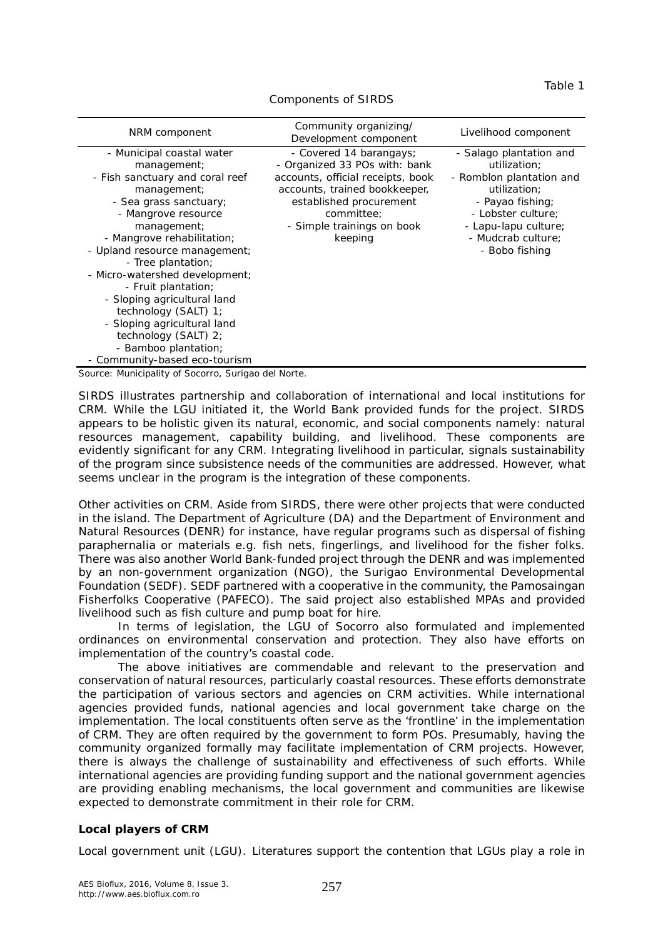#### Table 1

| NRM component                                                                                                                                                                                                                                                                                                                                                                                                                                                                     | Community organizing/<br>Development component                                                                                                                                                                   | Livelihood component                                                                                                                                                                          |
|-----------------------------------------------------------------------------------------------------------------------------------------------------------------------------------------------------------------------------------------------------------------------------------------------------------------------------------------------------------------------------------------------------------------------------------------------------------------------------------|------------------------------------------------------------------------------------------------------------------------------------------------------------------------------------------------------------------|-----------------------------------------------------------------------------------------------------------------------------------------------------------------------------------------------|
| - Municipal coastal water<br>management;<br>- Fish sanctuary and coral reef<br>management;<br>- Sea grass sanctuary;<br>- Mangrove resource<br>management;<br>- Mangrove rehabilitation;<br>- Upland resource management;<br>- Tree plantation;<br>- Micro-watershed development;<br>- Fruit plantation;<br>- Sloping agricultural land<br>technology $(SALT)$ 1;<br>- Sloping agricultural land<br>technology (SALT) 2;<br>- Bamboo plantation;<br>- Community-based eco-tourism | - Covered 14 barangays;<br>- Organized 33 POs with: bank<br>accounts, official receipts, book<br>accounts, trained bookkeeper,<br>established procurement<br>committee;<br>- Simple trainings on book<br>keeping | - Salago plantation and<br>utilization:<br>- Romblon plantation and<br>utilization:<br>- Payao fishing;<br>- Lobster culture;<br>- Lapu-lapu culture;<br>- Mudcrab culture;<br>- Bobo fishing |

#### Components of SIRDS

Source: Municipality of Socorro, Surigao del Norte.

SIRDS illustrates partnership and collaboration of international and local institutions for CRM. While the LGU initiated it, the World Bank provided funds for the project. SIRDS appears to be holistic given its natural, economic, and social components namely: natural resources management, capability building, and livelihood. These components are evidently significant for any CRM. Integrating livelihood in particular, signals sustainability of the program since subsistence needs of the communities are addressed. However, what seems unclear in the program is the integration of these components.

*Other activities on CRM.* Aside from SIRDS, there were other projects that were conducted in the island. The Department of Agriculture (DA) and the Department of Environment and Natural Resources (DENR) for instance, have regular programs such as dispersal of fishing paraphernalia or materials e.g. fish nets, fingerlings, and livelihood for the fisher folks. There was also another World Bank-funded project through the DENR and was implemented by an non-government organization (NGO), the Surigao Environmental Developmental Foundation (SEDF). SEDF partnered with a cooperative in the community, the Pamosaingan Fisherfolks Cooperative (PAFECO). The said project also established MPAs and provided livelihood such as fish culture and pump boat for hire.

In terms of legislation, the LGU of Socorro also formulated and implemented ordinances on environmental conservation and protection. They also have efforts on implementation of the country's coastal code.

The above initiatives are commendable and relevant to the preservation and conservation of natural resources, particularly coastal resources. These efforts demonstrate the participation of various sectors and agencies on CRM activities. While international agencies provided funds, national agencies and local government take charge on the implementation. The local constituents often serve as the 'frontline' in the implementation of CRM. They are often required by the government to form POs. Presumably, having the community organized formally may facilitate implementation of CRM projects. However, there is always the challenge of sustainability and effectiveness of such efforts. While international agencies are providing funding support and the national government agencies are providing enabling mechanisms, the local government and communities are likewise expected to demonstrate commitment in their role for CRM.

# *Local players of CRM*

*Local government unit (LGU).* Literatures support the contention that LGUs play a role in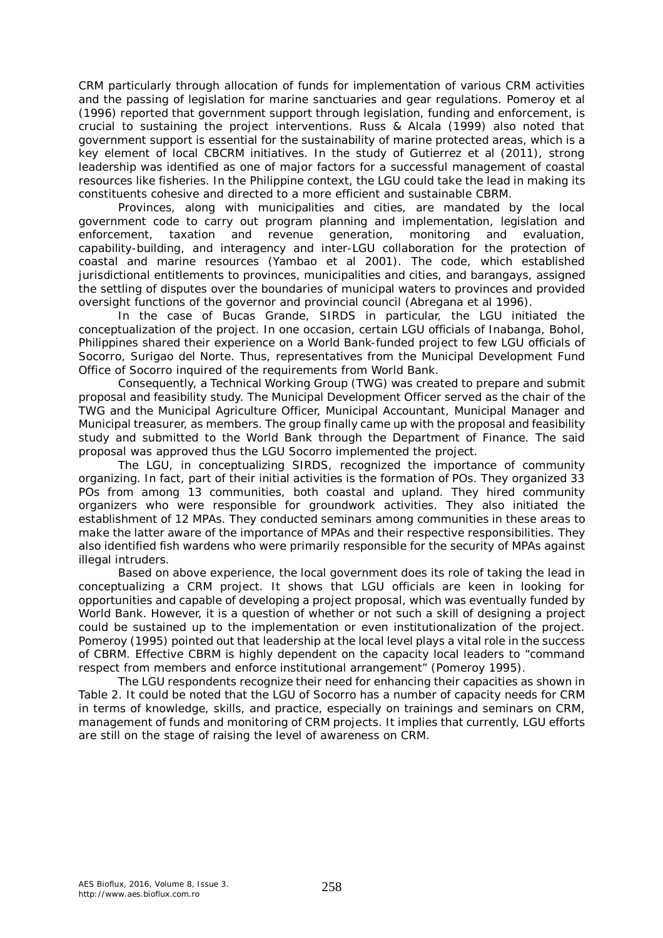CRM particularly through allocation of funds for implementation of various CRM activities and the passing of legislation for marine sanctuaries and gear regulations. Pomeroy et al (1996) reported that government support through legislation, funding and enforcement, is crucial to sustaining the project interventions. Russ & Alcala (1999) also noted that government support is essential for the sustainability of marine protected areas, which is a key element of local CBCRM initiatives. In the study of Gutierrez et al (2011), strong leadership was identified as one of major factors for a successful management of coastal resources like fisheries. In the Philippine context, the LGU could take the lead in making its constituents cohesive and directed to a more efficient and sustainable CBRM.

Provinces, along with municipalities and cities, are mandated by the local government code to carry out program planning and implementation, legislation and enforcement, taxation and revenue generation, monitoring and evaluation, capability-building, and interagency and inter-LGU collaboration for the protection of coastal and marine resources (Yambao et al 2001). The code, which established jurisdictional entitlements to provinces, municipalities and cities, and barangays, assigned the settling of disputes over the boundaries of municipal waters to provinces and provided oversight functions of the governor and provincial council (Abregana et al 1996).

In the case of Bucas Grande, SIRDS in particular, the LGU initiated the conceptualization of the project. In one occasion, certain LGU officials of Inabanga, Bohol, Philippines shared their experience on a World Bank-funded project to few LGU officials of Socorro, Surigao del Norte. Thus, representatives from the Municipal Development Fund Office of Socorro inquired of the requirements from World Bank.

Consequently, a Technical Working Group (TWG) was created to prepare and submit proposal and feasibility study. The Municipal Development Officer served as the chair of the TWG and the Municipal Agriculture Officer, Municipal Accountant, Municipal Manager and Municipal treasurer, as members. The group finally came up with the proposal and feasibility study and submitted to the World Bank through the Department of Finance. The said proposal was approved thus the LGU Socorro implemented the project.

The LGU, in conceptualizing SIRDS, recognized the importance of community organizing. In fact, part of their initial activities is the formation of POs. They organized 33 POs from among 13 communities, both coastal and upland. They hired community organizers who were responsible for groundwork activities. They also initiated the establishment of 12 MPAs. They conducted seminars among communities in these areas to make the latter aware of the importance of MPAs and their respective responsibilities. They also identified fish wardens who were primarily responsible for the security of MPAs against illegal intruders.

Based on above experience, the local government does its role of taking the lead in conceptualizing a CRM project. It shows that LGU officials are keen in looking for opportunities and capable of developing a project proposal, which was eventually funded by World Bank. However, it is a question of whether or not such a skill of designing a project could be sustained up to the implementation or even institutionalization of the project. Pomeroy (1995) pointed out that leadership at the local level plays a vital role in the success of CBRM. Effective CBRM is highly dependent on the capacity local leaders to "command respect from members and enforce institutional arrangement" (Pomeroy 1995).

The LGU respondents recognize their need for enhancing their capacities as shown in Table 2. It could be noted that the LGU of Socorro has a number of capacity needs for CRM in terms of knowledge, skills, and practice, especially on trainings and seminars on CRM, management of funds and monitoring of CRM projects. It implies that currently, LGU efforts are still on the stage of raising the level of awareness on CRM.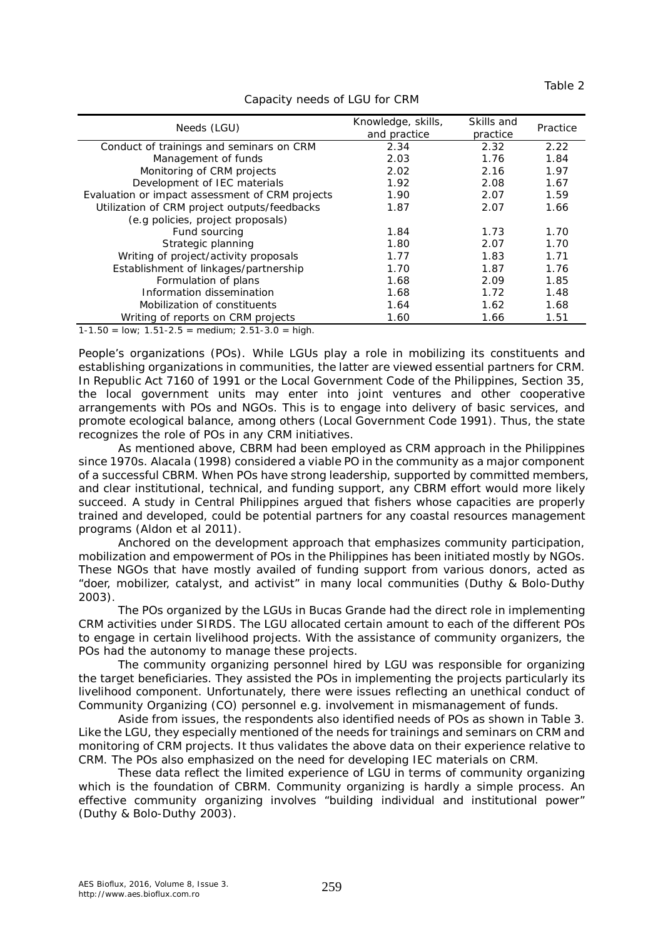| Needs (LGU)                                     | Knowledge, skills,<br>and practice | Skills and<br>practice | Practice |
|-------------------------------------------------|------------------------------------|------------------------|----------|
| Conduct of trainings and seminars on CRM        | 2.34                               | 2.32                   | 2.22     |
| Management of funds                             | 2.03                               | 1.76                   | 1.84     |
| Monitoring of CRM projects                      | 2.02                               | 2.16                   | 1.97     |
| Development of IEC materials                    | 1.92                               | 2.08                   | 1.67     |
| Evaluation or impact assessment of CRM projects | 1.90                               | 2.07                   | 1.59     |
| Utilization of CRM project outputs/feedbacks    | 1.87                               | 2.07                   | 1.66     |
| (e.g policies, project proposals)               |                                    |                        |          |
| Fund sourcing                                   | 1.84                               | 1.73                   | 1.70     |
| Strategic planning                              | 1.80                               | 2.07                   | 1.70     |
| Writing of project/activity proposals           | 1.77                               | 1.83                   | 1.71     |
| Establishment of linkages/partnership           | 1.70                               | 1.87                   | 1.76     |
| Formulation of plans                            | 1.68                               | 2.09                   | 1.85     |
| Information dissemination                       | 1.68                               | 1.72                   | 1.48     |
| Mobilization of constituents                    | 1.64                               | 1.62                   | 1.68     |
| Writing of reports on CRM projects              | 1.60                               | 1.66                   | 1.51     |

# Capacity needs of LGU for CRM

 $1-1.50 = \text{low}$ ;  $1.51-2.5 = \text{medium}$ ;  $2.51-3.0 = \text{high}$ .

*People's organizations (POs).* While LGUs play a role in mobilizing its constituents and establishing organizations in communities, the latter are viewed essential partners for CRM. In Republic Act 7160 of 1991 or the Local Government Code of the Philippines, Section 35, the local government units may enter into joint ventures and other cooperative arrangements with POs and NGOs. This is to engage into delivery of basic services, and promote ecological balance, among others (Local Government Code 1991). Thus, the state recognizes the role of POs in any CRM initiatives.

As mentioned above, CBRM had been employed as CRM approach in the Philippines since 1970s. Alacala (1998) considered a viable PO in the community as a major component of a successful CBRM. When POs have strong leadership, supported by committed members, and clear institutional, technical, and funding support, any CBRM effort would more likely succeed. A study in Central Philippines argued that fishers whose capacities are properly trained and developed, could be potential partners for any coastal resources management programs (Aldon et al 2011).

Anchored on the development approach that emphasizes community participation, mobilization and empowerment of POs in the Philippines has been initiated mostly by NGOs. These NGOs that have mostly availed of funding support from various donors, acted as "doer, mobilizer, catalyst, and activist" in many local communities (Duthy & Bolo-Duthy 2003).

The POs organized by the LGUs in Bucas Grande had the direct role in implementing CRM activities under SIRDS. The LGU allocated certain amount to each of the different POs to engage in certain livelihood projects. With the assistance of community organizers, the POs had the autonomy to manage these projects.

The community organizing personnel hired by LGU was responsible for organizing the target beneficiaries. They assisted the POs in implementing the projects particularly its livelihood component. Unfortunately, there were issues reflecting an unethical conduct of Community Organizing (CO) personnel e.g. involvement in mismanagement of funds.

Aside from issues, the respondents also identified needs of POs as shown in Table 3. Like the LGU, they especially mentioned of the needs for trainings and seminars on CRM and monitoring of CRM projects. It thus validates the above data on their experience relative to CRM. The POs also emphasized on the need for developing IEC materials on CRM.

These data reflect the limited experience of LGU in terms of community organizing which is the foundation of CBRM. Community organizing is hardly a simple process. An effective community organizing involves "building individual and institutional power" (Duthy & Bolo-Duthy 2003).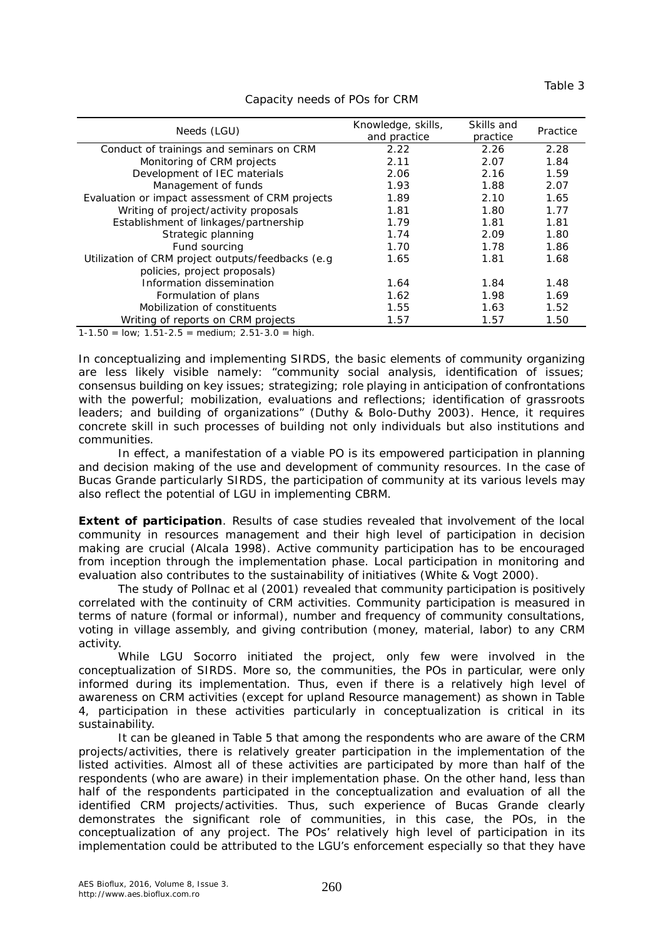| Needs (LGU)                                        | Knowledge, skills,<br>and practice | Skills and<br>practice | Practice |
|----------------------------------------------------|------------------------------------|------------------------|----------|
| Conduct of trainings and seminars on CRM           | 2.22                               | 2.26                   | 2.28     |
| Monitoring of CRM projects                         | 2.11                               | 2.07                   | 1.84     |
| Development of IEC materials                       | 2.06                               | 2.16                   | 1.59     |
| Management of funds                                | 1.93                               | 1.88                   | 2.07     |
| Evaluation or impact assessment of CRM projects    | 1.89                               | 2.10                   | 1.65     |
| Writing of project/activity proposals              | 1.81                               | 1.80                   | 1.77     |
| Establishment of linkages/partnership              | 1.79                               | 1.81                   | 1.81     |
| Strategic planning                                 | 1.74                               | 2.09                   | 1.80     |
| Fund sourcing                                      | 1.70                               | 1.78                   | 1.86     |
| Utilization of CRM project outputs/feedbacks (e.g. | 1.65                               | 1.81                   | 1.68     |
| policies, project proposals)                       |                                    |                        |          |
| Information dissemination                          | 1.64                               | 1.84                   | 1.48     |
| Formulation of plans                               | 1.62                               | 1.98                   | 1.69     |
| Mobilization of constituents                       | 1.55                               | 1.63                   | 1.52     |
| Writing of reports on CRM projects                 | 1.57                               | 1.57                   | 1.50     |

## Capacity needs of POs for CRM

 $1-1.50 =$  low;  $1.51-2.5 =$  medium;  $2.51-3.0 =$  high.

In conceptualizing and implementing SIRDS, the basic elements of community organizing are less likely visible namely: "community social analysis, identification of issues; consensus building on key issues; strategizing; role playing in anticipation of confrontations with the powerful; mobilization, evaluations and reflections; identification of grassroots leaders; and building of organizations" (Duthy & Bolo-Duthy 2003). Hence, it requires concrete skill in such processes of building not only individuals but also institutions and communities.

In effect, a manifestation of a viable PO is its empowered participation in planning and decision making of the use and development of community resources. In the case of Bucas Grande particularly SIRDS, the participation of community at its various levels may also reflect the potential of LGU in implementing CBRM.

**Extent of participation**. Results of case studies revealed that involvement of the local community in resources management and their high level of participation in decision making are crucial (Alcala 1998). Active community participation has to be encouraged from inception through the implementation phase. Local participation in monitoring and evaluation also contributes to the sustainability of initiatives (White & Vogt 2000).

The study of Pollnac et al (2001) revealed that community participation is positively correlated with the continuity of CRM activities. Community participation is measured in terms of nature (formal or informal), number and frequency of community consultations, voting in village assembly, and giving contribution (money, material, labor) to any CRM activity.

While LGU Socorro initiated the project, only few were involved in the conceptualization of SIRDS. More so, the communities, the POs in particular, were only informed during its implementation. Thus, even if there is a relatively high level of awareness on CRM activities (except for upland Resource management) as shown in Table 4, participation in these activities particularly in conceptualization is critical in its sustainability.

It can be gleaned in Table 5 that among the respondents who are aware of the CRM projects/activities, there is relatively greater participation in the implementation of the listed activities. Almost all of these activities are participated by more than half of the respondents (who are aware) in their implementation phase. On the other hand, less than half of the respondents participated in the conceptualization and evaluation of all the identified CRM projects/activities. Thus, such experience of Bucas Grande clearly demonstrates the significant role of communities, in this case, the POs, in the conceptualization of any project. The POs' relatively high level of participation in its implementation could be attributed to the LGU's enforcement especially so that they have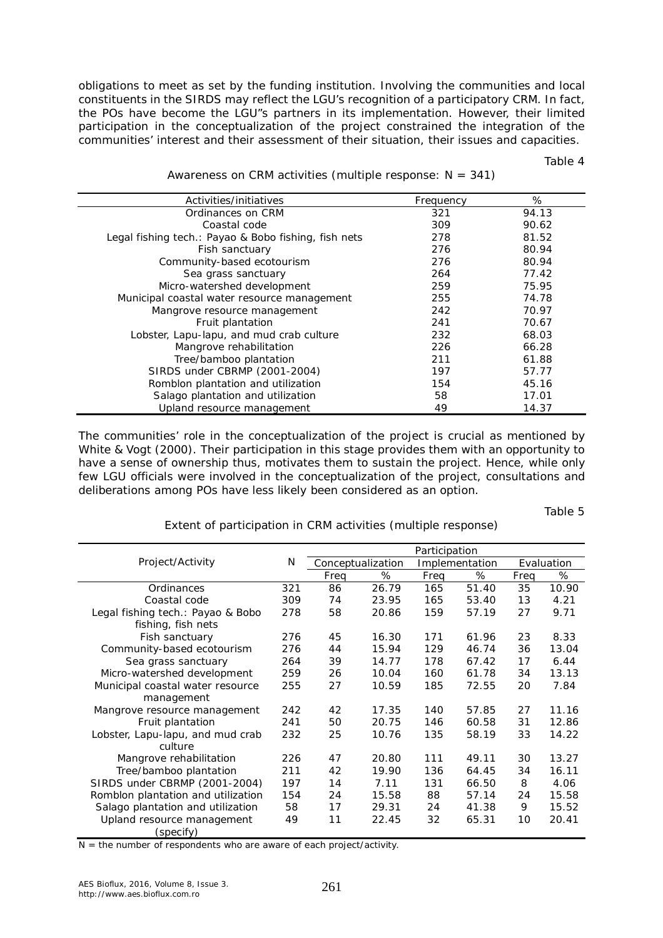obligations to meet as set by the funding institution. Involving the communities and local constituents in the SIRDS may reflect the LGU's recognition of a participatory CRM. In fact, the POs have become the LGU"s partners in its implementation. However, their limited participation in the conceptualization of the project constrained the integration of the communities' interest and their assessment of their situation, their issues and capacities.

Table 4

| Activities/initiatives                               | Frequency | %     |
|------------------------------------------------------|-----------|-------|
| Ordinances on CRM                                    | 321       | 94.13 |
| Coastal code                                         | 309       | 90.62 |
| Legal fishing tech.: Payao & Bobo fishing, fish nets | 278       | 81.52 |
| Fish sanctuary                                       | 276       | 80.94 |
| Community-based ecotourism                           | 276       | 80.94 |
| Sea grass sanctuary                                  | 264       | 77.42 |
| Micro-watershed development                          | 259       | 75.95 |
| Municipal coastal water resource management          | 255       | 74.78 |
| Mangrove resource management                         | 242       | 70.97 |
| Fruit plantation                                     | 241       | 70.67 |
| Lobster, Lapu-lapu, and mud crab culture             | 232       | 68.03 |
| Mangrove rehabilitation                              | 226       | 66.28 |
| Tree/bamboo plantation                               | 211       | 61.88 |
| SIRDS under CBRMP (2001-2004)                        | 197       | 57.77 |
| Romblon plantation and utilization                   | 154       | 45.16 |
| Salago plantation and utilization                    | 58        | 17.01 |
| Upland resource management                           | 49        | 14.37 |

Awareness on CRM activities (multiple response:  $N = 341$ )

The communities' role in the conceptualization of the project is crucial as mentioned by White & Vogt (2000). Their participation in this stage provides them with an opportunity to have a sense of ownership thus, motivates them to sustain the project. Hence, while only few LGU officials were involved in the conceptualization of the project, consultations and deliberations among POs have less likely been considered as an option.

Table 5

Extent of participation in CRM activities (multiple response)

|                                    | Participation |      |                   |      |                |      |            |
|------------------------------------|---------------|------|-------------------|------|----------------|------|------------|
| Project/Activity                   | N             |      | Conceptualization |      | Implementation |      | Evaluation |
|                                    |               | Freq | %                 | Freq | %              | Freq | %          |
| Ordinances                         | 321           | 86   | 26.79             | 165  | 51.40          | 35   | 10.90      |
| Coastal code                       | 309           | 74   | 23.95             | 165  | 53.40          | 13   | 4.21       |
| Legal fishing tech.: Payao & Bobo  | 278           | 58   | 20.86             | 159  | 57.19          | 27   | 9.71       |
| fishing, fish nets                 |               |      |                   |      |                |      |            |
| Fish sanctuary                     | 276           | 45   | 16.30             | 171  | 61.96          | 23   | 8.33       |
| Community-based ecotourism         | 276           | 44   | 15.94             | 129  | 46.74          | 36   | 13.04      |
| Sea grass sanctuary                | 264           | 39   | 14.77             | 178  | 67.42          | 17   | 6.44       |
| Micro-watershed development        | 259           | 26   | 10.04             | 160  | 61.78          | 34   | 13.13      |
| Municipal coastal water resource   | 255           | 27   | 10.59             | 185  | 72.55          | 20   | 7.84       |
| management                         |               |      |                   |      |                |      |            |
| Mangrove resource management       | 242           | 42   | 17.35             | 140  | 57.85          | 27   | 11.16      |
| Fruit plantation                   | 241           | 50   | 20.75             | 146  | 60.58          | 31   | 12.86      |
| Lobster, Lapu-lapu, and mud crab   | 232           | 25   | 10.76             | 135  | 58.19          | 33   | 14.22      |
| culture                            |               |      |                   |      |                |      |            |
| Mangrove rehabilitation            | 226           | 47   | 20.80             | 111  | 49.11          | 30   | 13.27      |
| Tree/bamboo plantation             | 211           | 42   | 19.90             | 136  | 64.45          | 34   | 16.11      |
| SIRDS under CBRMP (2001-2004)      | 197           | 14   | 7.11              | 131  | 66.50          | 8    | 4.06       |
| Romblon plantation and utilization | 154           | 24   | 15.58             | 88   | 57.14          | 24   | 15.58      |
| Salago plantation and utilization  | 58            | 17   | 29.31             | 24   | 41.38          | 9    | 15.52      |
| Upland resource management         | 49            | 11   | 22.45             | 32   | 65.31          | 10   | 20.41      |
| (specify)                          |               |      |                   |      |                |      |            |

 $N =$  the number of respondents who are aware of each project/activity.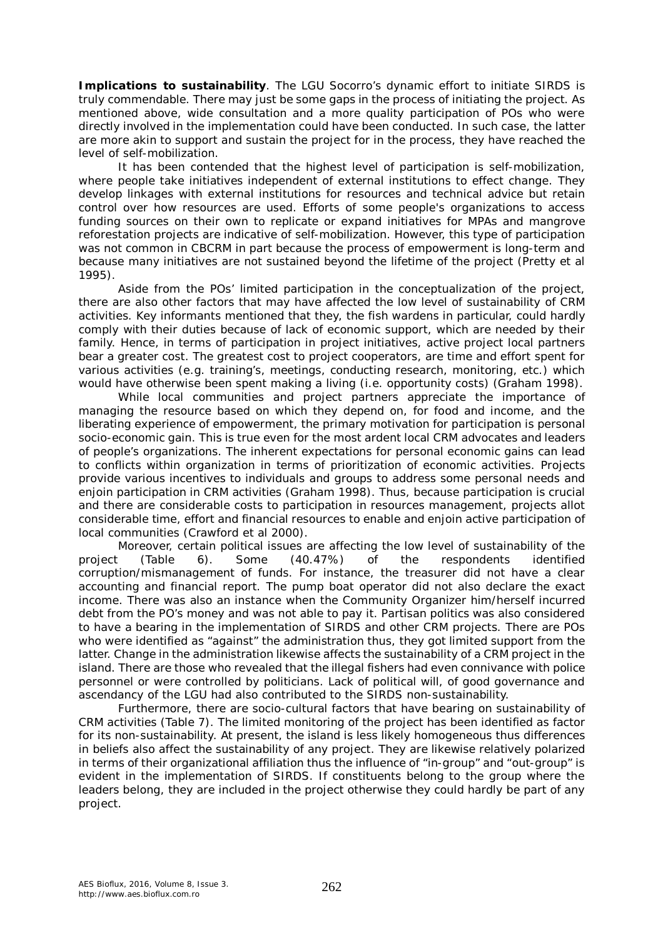*Implications to sustainability.* The LGU Socorro's dynamic effort to initiate SIRDS is truly commendable. There may just be some gaps in the process of initiating the project. As mentioned above, wide consultation and a more quality participation of POs who were directly involved in the implementation could have been conducted. In such case, the latter are more akin to support and sustain the project for in the process, they have reached the level of self-mobilization.

It has been contended that the highest level of participation is self-mobilization, where people take initiatives independent of external institutions to effect change. They develop linkages with external institutions for resources and technical advice but retain control over how resources are used. Efforts of some people's organizations to access funding sources on their own to replicate or expand initiatives for MPAs and mangrove reforestation projects are indicative of self-mobilization. However, this type of participation was not common in CBCRM in part because the process of empowerment is long-term and because many initiatives are not sustained beyond the lifetime of the project (Pretty et al 1995).

Aside from the POs' limited participation in the conceptualization of the project, there are also other factors that may have affected the low level of sustainability of CRM activities. Key informants mentioned that they, the fish wardens in particular, could hardly comply with their duties because of lack of economic support, which are needed by their family. Hence, in terms of participation in project initiatives, active project local partners bear a greater cost. The greatest cost to project cooperators, are time and effort spent for various activities (e.g. training's, meetings, conducting research, monitoring, etc.) which would have otherwise been spent making a living (i.e. opportunity costs) (Graham 1998).

While local communities and project partners appreciate the importance of managing the resource based on which they depend on, for food and income, and the liberating experience of empowerment, the primary motivation for participation is personal socio-economic gain. This is true even for the most ardent local CRM advocates and leaders of people's organizations. The inherent expectations for personal economic gains can lead to conflicts within organization in terms of prioritization of economic activities. Projects provide various incentives to individuals and groups to address some personal needs and enjoin participation in CRM activities (Graham 1998). Thus, because participation is crucial and there are considerable costs to participation in resources management, projects allot considerable time, effort and financial resources to enable and enjoin active participation of local communities (Crawford et al 2000).

Moreover, certain political issues are affecting the low level of sustainability of the project (Table 6). Some (40.47%) of the respondents identified corruption/mismanagement of funds. For instance, the treasurer did not have a clear accounting and financial report. The pump boat operator did not also declare the exact income. There was also an instance when the Community Organizer him/herself incurred debt from the PO's money and was not able to pay it. Partisan politics was also considered to have a bearing in the implementation of SIRDS and other CRM projects. There are POs who were identified as "against" the administration thus, they got limited support from the latter. Change in the administration likewise affects the sustainability of a CRM project in the island. There are those who revealed that the illegal fishers had even connivance with police personnel or were controlled by politicians. Lack of political will, of good governance and ascendancy of the LGU had also contributed to the SIRDS non-sustainability.

Furthermore, there are socio-cultural factors that have bearing on sustainability of CRM activities (Table 7). The limited monitoring of the project has been identified as factor for its non-sustainability. At present, the island is less likely homogeneous thus differences in beliefs also affect the sustainability of any project. They are likewise relatively polarized in terms of their organizational affiliation thus the influence of "in-group" and "out-group" is evident in the implementation of SIRDS. If constituents belong to the group where the leaders belong, they are included in the project otherwise they could hardly be part of any project.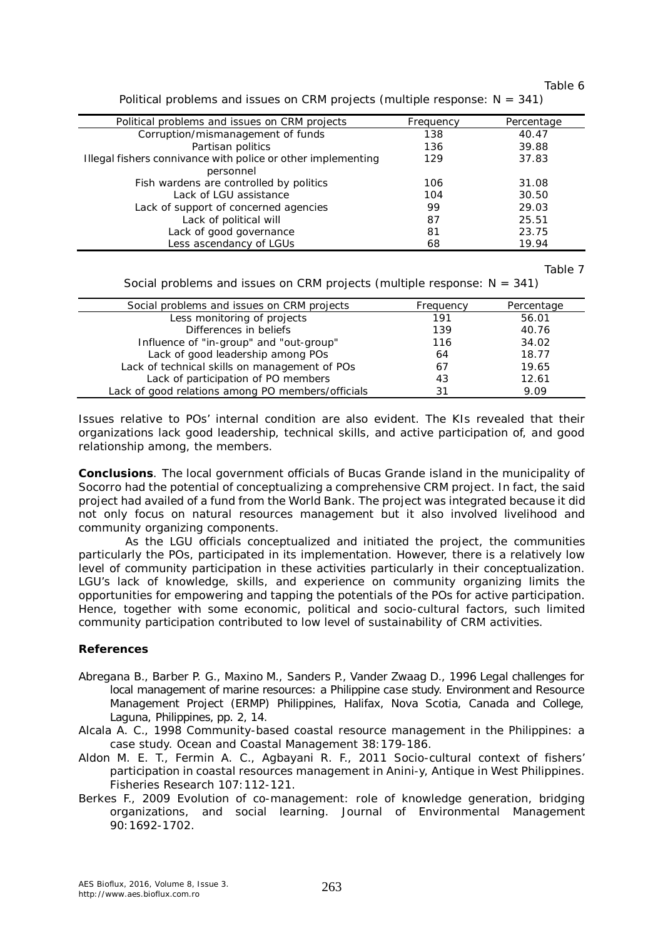Table 6

| Political problems and issues on CRM projects                | Frequency | Percentage |
|--------------------------------------------------------------|-----------|------------|
| Corruption/mismanagement of funds                            | 138       | 40.47      |
| Partisan politics                                            | 136       | 39.88      |
| Illegal fishers connivance with police or other implementing | 129       | 37.83      |
| personnel                                                    |           |            |
| Fish wardens are controlled by politics                      | 106       | 31.08      |
| Lack of LGU assistance                                       | 104       | 30.50      |
| Lack of support of concerned agencies                        | 99        | 29.03      |
| Lack of political will                                       | 87        | 25.51      |
| Lack of good governance                                      | 81        | 23.75      |
| Less ascendancy of LGUs                                      | 68        | 19.94      |

Political problems and issues on CRM projects (multiple response:  $N = 341$ )

Table 7

Social problems and issues on CRM projects (multiple response:  $N = 341$ )

| Social problems and issues on CRM projects        | Frequency | Percentage |
|---------------------------------------------------|-----------|------------|
|                                                   |           |            |
| Less monitoring of projects                       | 191       | 56.01      |
| Differences in beliefs                            | 139       | 40.76      |
| Influence of "in-group" and "out-group"           | 116       | 34.02      |
| Lack of good leadership among POs                 | 64        | 18.77      |
| Lack of technical skills on management of POs     | 67        | 19.65      |
| Lack of participation of PO members               | 43        | 12.61      |
| Lack of good relations among PO members/officials | 31        | 9.09       |

Issues relative to POs' internal condition are also evident. The KIs revealed that their organizations lack good leadership, technical skills, and active participation of, and good relationship among, the members.

**Conclusions**. The local government officials of Bucas Grande island in the municipality of Socorro had the potential of conceptualizing a comprehensive CRM project. In fact, the said project had availed of a fund from the World Bank. The project was integrated because it did not only focus on natural resources management but it also involved livelihood and community organizing components.

As the LGU officials conceptualized and initiated the project, the communities particularly the POs, participated in its implementation. However, there is a relatively low level of community participation in these activities particularly in their conceptualization. LGU's lack of knowledge, skills, and experience on community organizing limits the opportunities for empowering and tapping the potentials of the POs for active participation. Hence, together with some economic, political and socio-cultural factors, such limited community participation contributed to low level of sustainability of CRM activities.

# **References**

- Abregana B., Barber P. G., Maxino M., Sanders P., Vander Zwaag D., 1996 Legal challenges for local management of marine resources: a Philippine case study. Environment and Resource Management Project (ERMP) Philippines, Halifax, Nova Scotia, Canada and College, Laguna, Philippines, pp. 2, 14.
- Alcala A. C., 1998 Community-based coastal resource management in the Philippines: a case study. Ocean and Coastal Management 38:179-186.
- Aldon M. E. T., Fermin A. C., Agbayani R. F., 2011 Socio-cultural context of fishers' participation in coastal resources management in Anini-y, Antique in West Philippines. Fisheries Research 107:112-121.
- Berkes F., 2009 Evolution of co-management: role of knowledge generation, bridging organizations, and social learning. Journal of Environmental Management 90:1692-1702.